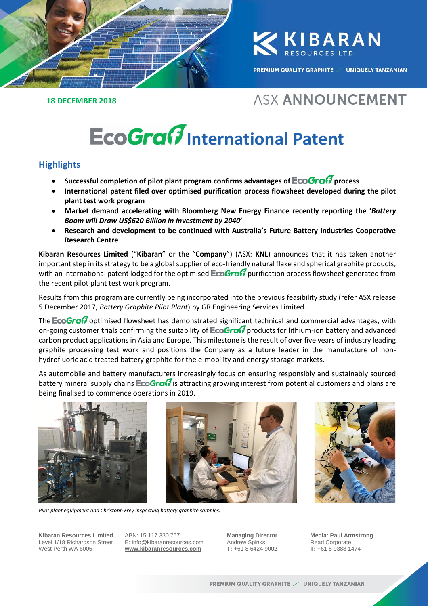

**KIBARAN** 

**PREMIUM QUALITY GRAPHITE / UNIQUELY TANZANIAN** 

#### **18 DECEMBER 2018**

## **ASX ANNOUNCEMENT**

# **EcoGraft** International Patent

### **Highlights**

- Successful completion of pilot plant program confirms advantages of **EcoGraW** process
- **International patent filed over optimised purification process flowsheet developed during the pilot plant test work program**
- **Market demand accelerating with Bloomberg New Energy Finance recently reporting the '***Battery Boom will Draw US\$620 Billion in Investment by 2040***'**
- **Research and development to be continued with Australia's Future Battery Industries Cooperative Research Centre**

**Kibaran Resources Limited** ("**Kibaran**" or the "**Company**") (ASX: **KNL**) announces that it has taken another important step in its strategy to be a global supplier of eco-friendly natural flake and spherical graphite products, with an international patent lodged for the optimised  $\textsf{EcoGrad}$  purification process flowsheet generated from the recent pilot plant test work program.

Results from this program are currently being incorporated into the previous feasibility study (refer ASX release 5 December 2017, *Battery Graphite Pilot Plant*) by GR Engineering Services Limited.

The **EcoGra** $\theta$  optimised flowsheet has demonstrated significant technical and commercial advantages, with on-going customer trials confirming the suitability of  $\text{EcoGrad}$  products for lithium-ion battery and advanced carbon product applications in Asia and Europe. This milestone is the result of over five years of industry leading graphite processing test work and positions the Company as a future leader in the manufacture of nonhydrofluoric acid treated battery graphite for the e-mobility and energy storage markets.

As automobile and battery manufacturers increasingly focus on ensuring responsibly and sustainably sourced battery mineral supply chains  $\mathsf{EcoGraG}$  is attracting growing interest from potential customers and plans are being finalised to commence operations in 2019.





*Pilot plant equipment and Christoph Frey inspecting battery graphite samples.*

**Kibaran Resources Limited** Level 1/18 Richardson Street West Perth WA 6005

ABN: 15 117 330 757 E: info@kibaranresources.com **www.kibaranresources.com**

**Managing Director** Andrew Spinks **T:** +61 8 6424 9002

**Media: Paul Armstrong** Read Corporate **T:** +61 8 9388 1474 **1**